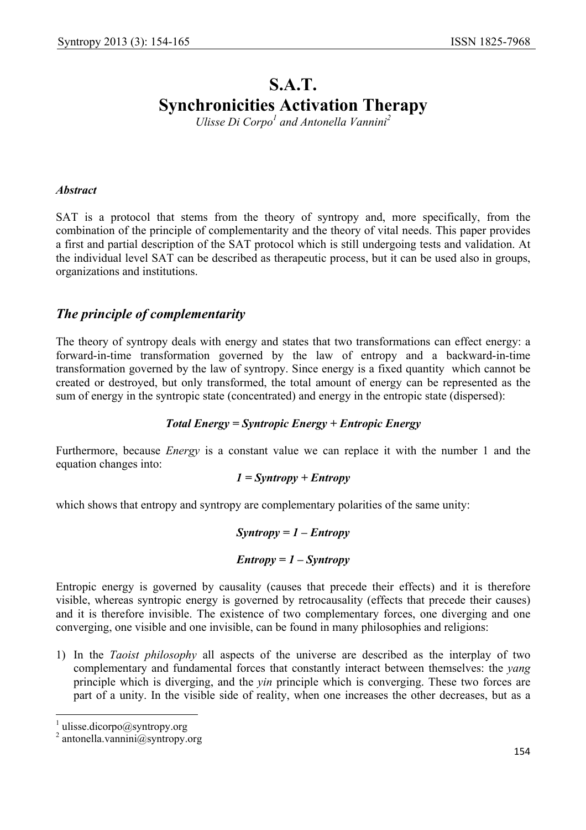# **S.A.T. Synchronicities Activation Therapy**

*Ulisse Di Corpo<sup>1</sup> and Antonella Vannini<sup>2</sup>* 

#### *Abstract*

SAT is a protocol that stems from the theory of syntropy and, more specifically, from the combination of the principle of complementarity and the theory of vital needs. This paper provides a first and partial description of the SAT protocol which is still undergoing tests and validation. At the individual level SAT can be described as therapeutic process, but it can be used also in groups, organizations and institutions.

# *The principle of complementarity*

The theory of syntropy deals with energy and states that two transformations can effect energy: a forward-in-time transformation governed by the law of entropy and a backward-in-time transformation governed by the law of syntropy. Since energy is a fixed quantity which cannot be created or destroyed, but only transformed, the total amount of energy can be represented as the sum of energy in the syntropic state (concentrated) and energy in the entropic state (dispersed):

#### *Total Energy = Syntropic Energy + Entropic Energy*

Furthermore, because *Energy* is a constant value we can replace it with the number 1 and the equation changes into:

#### *1 = Syntropy + Entropy*

which shows that entropy and syntropy are complementary polarities of the same unity:

#### *Syntropy = 1 – Entropy*

#### *Entropy = 1 – Syntropy*

Entropic energy is governed by causality (causes that precede their effects) and it is therefore visible, whereas syntropic energy is governed by retrocausality (effects that precede their causes) and it is therefore invisible. The existence of two complementary forces, one diverging and one converging, one visible and one invisible, can be found in many philosophies and religions:

1) In the *Taoist philosophy* all aspects of the universe are described as the interplay of two complementary and fundamental forces that constantly interact between themselves: the *yang* principle which is diverging, and the *yin* principle which is converging. These two forces are part of a unity. In the visible side of reality, when one increases the other decreases, but as a

 $\overline{\phantom{a}}$ 

<sup>1</sup> ulisse.dicorpo@syntropy.org

<sup>2</sup> antonella.vannini@syntropy.org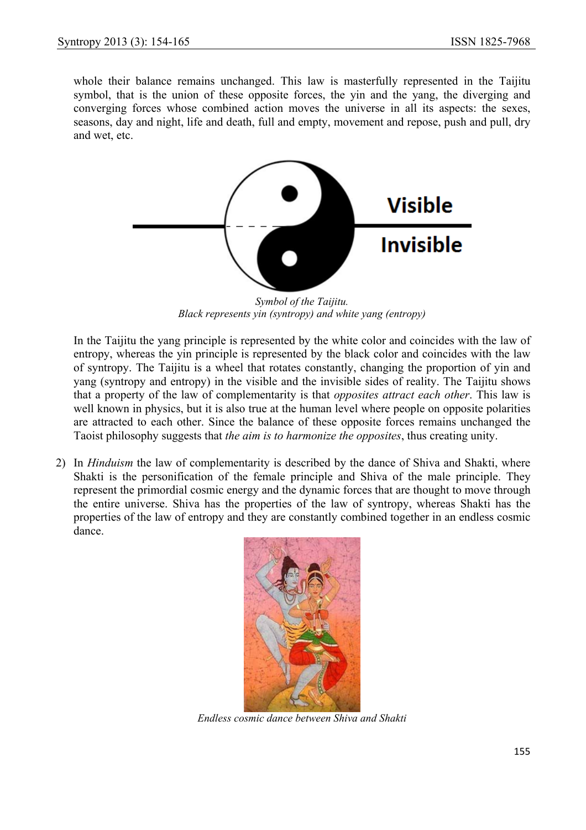whole their balance remains unchanged. This law is masterfully represented in the Taijitu symbol, that is the union of these opposite forces, the yin and the yang, the diverging and converging forces whose combined action moves the universe in all its aspects: the sexes, seasons, day and night, life and death, full and empty, movement and repose, push and pull, dry and wet, etc.



*Symbol of the Taijitu. Black represents yin (syntropy) and white yang (entropy)*

In the Taijitu the yang principle is represented by the white color and coincides with the law of entropy, whereas the yin principle is represented by the black color and coincides with the law of syntropy. The Taijitu is a wheel that rotates constantly, changing the proportion of yin and yang (syntropy and entropy) in the visible and the invisible sides of reality. The Taijitu shows that a property of the law of complementarity is that *opposites attract each other*. This law is well known in physics, but it is also true at the human level where people on opposite polarities are attracted to each other. Since the balance of these opposite forces remains unchanged the Taoist philosophy suggests that *the aim is to harmonize the opposites*, thus creating unity.

2) In *Hinduism* the law of complementarity is described by the dance of Shiva and Shakti, where Shakti is the personification of the female principle and Shiva of the male principle. They represent the primordial cosmic energy and the dynamic forces that are thought to move through the entire universe. Shiva has the properties of the law of syntropy, whereas Shakti has the properties of the law of entropy and they are constantly combined together in an endless cosmic dance.



*Endless cosmic dance between Shiva and Shakti*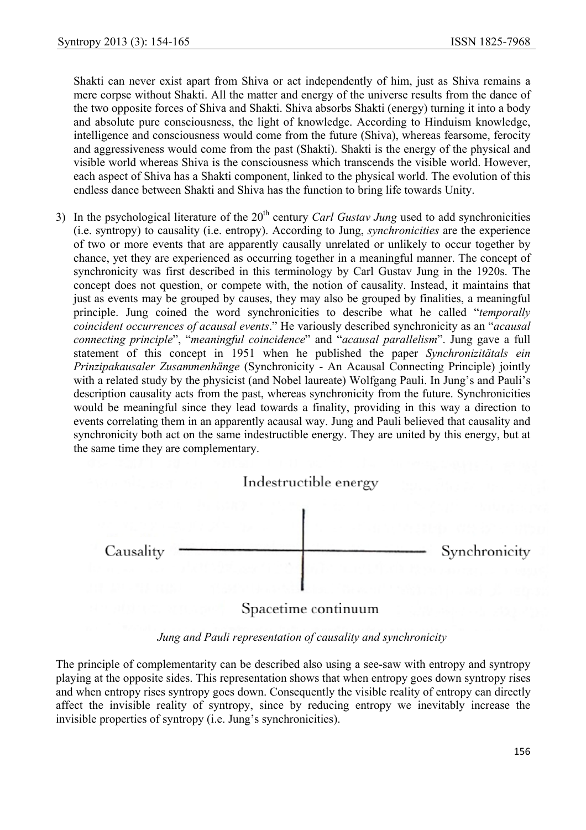Shakti can never exist apart from Shiva or act independently of him, just as Shiva remains a mere corpse without Shakti. All the matter and energy of the universe results from the dance of the two opposite forces of Shiva and Shakti. Shiva absorbs Shakti (energy) turning it into a body and absolute pure consciousness, the light of knowledge. According to Hinduism knowledge, intelligence and consciousness would come from the future (Shiva), whereas fearsome, ferocity and aggressiveness would come from the past (Shakti). Shakti is the energy of the physical and visible world whereas Shiva is the consciousness which transcends the visible world. However, each aspect of Shiva has a Shakti component, linked to the physical world. The evolution of this endless dance between Shakti and Shiva has the function to bring life towards Unity.

3) In the psychological literature of the 20<sup>th</sup> century *Carl Gustav Jung* used to add synchronicities (i.e. syntropy) to causality (i.e. entropy). According to Jung, *synchronicities* are the experience of two or more events that are apparently causally unrelated or unlikely to occur together by chance, yet they are experienced as occurring together in a meaningful manner. The concept of synchronicity was first described in this terminology by Carl Gustav Jung in the 1920s. The concept does not question, or compete with, the notion of causality. Instead, it maintains that just as events may be grouped by causes, they may also be grouped by finalities, a meaningful principle. Jung coined the word synchronicities to describe what he called "*temporally coincident occurrences of acausal events*." He variously described synchronicity as an "*acausal connecting principle*", "*meaningful coincidence*" and "*acausal parallelism*". Jung gave a full statement of this concept in 1951 when he published the paper *Synchronizitätals ein Prinzipakausaler Zusammenhänge* (Synchronicity - An Acausal Connecting Principle) jointly with a related study by the physicist (and Nobel laureate) Wolfgang Pauli. In Jung's and Pauli's description causality acts from the past, whereas synchronicity from the future. Synchronicities would be meaningful since they lead towards a finality, providing in this way a direction to events correlating them in an apparently acausal way. Jung and Pauli believed that causality and synchronicity both act on the same indestructible energy. They are united by this energy, but at the same time they are complementary.



*Jung and Pauli representation of causality and synchronicity* 

The principle of complementarity can be described also using a see-saw with entropy and syntropy playing at the opposite sides. This representation shows that when entropy goes down syntropy rises and when entropy rises syntropy goes down. Consequently the visible reality of entropy can directly affect the invisible reality of syntropy, since by reducing entropy we inevitably increase the invisible properties of syntropy (i.e. Jung's synchronicities).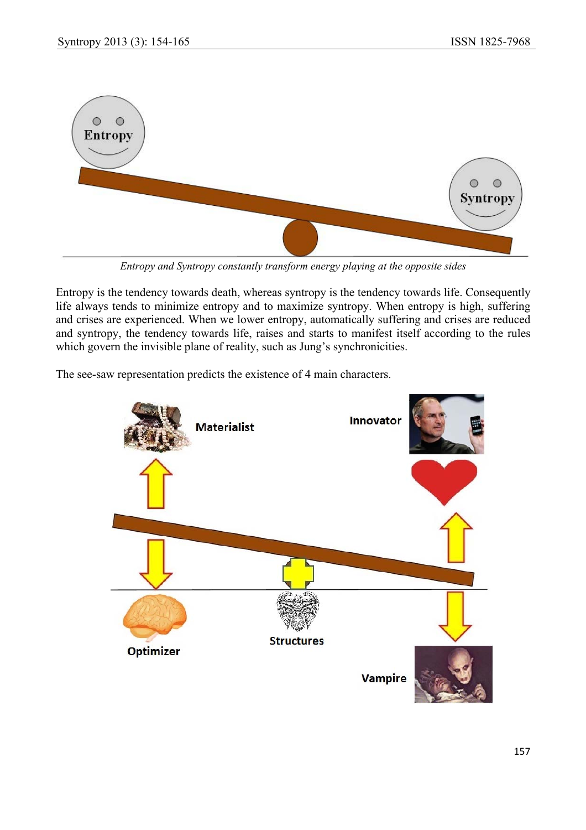

*Entropy and Syntropy constantly transform energy playing at the opposite sides* 

Entropy is the tendency towards death, whereas syntropy is the tendency towards life. Consequently life always tends to minimize entropy and to maximize syntropy. When entropy is high, suffering and crises are experienced. When we lower entropy, automatically suffering and crises are reduced and syntropy, the tendency towards life, raises and starts to manifest itself according to the rules which govern the invisible plane of reality, such as Jung's synchronicities.

The see-saw representation predicts the existence of 4 main characters.

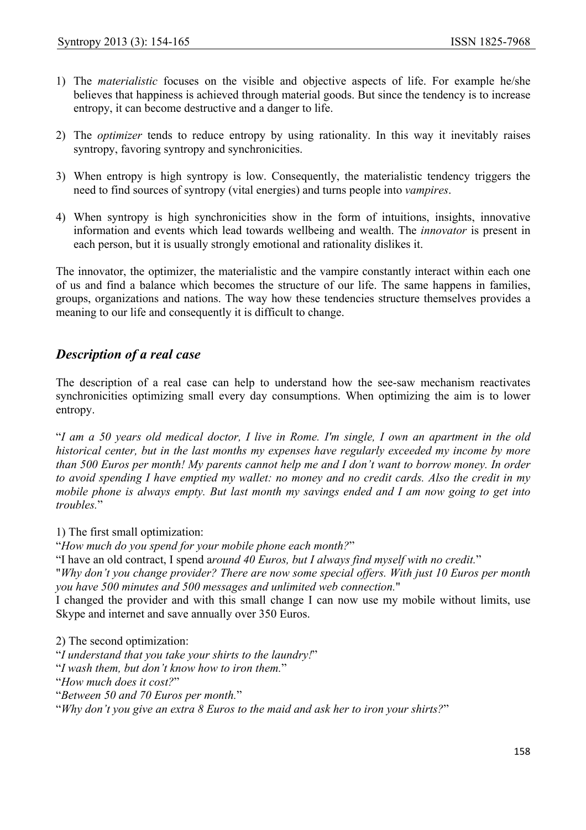- 1) The *materialistic* focuses on the visible and objective aspects of life. For example he/she believes that happiness is achieved through material goods. But since the tendency is to increase entropy, it can become destructive and a danger to life.
- 2) The *optimizer* tends to reduce entropy by using rationality. In this way it inevitably raises syntropy, favoring syntropy and synchronicities.
- 3) When entropy is high syntropy is low. Consequently, the materialistic tendency triggers the need to find sources of syntropy (vital energies) and turns people into *vampires*.
- 4) When syntropy is high synchronicities show in the form of intuitions, insights, innovative information and events which lead towards wellbeing and wealth. The *innovator* is present in each person, but it is usually strongly emotional and rationality dislikes it.

The innovator, the optimizer, the materialistic and the vampire constantly interact within each one of us and find a balance which becomes the structure of our life. The same happens in families, groups, organizations and nations. The way how these tendencies structure themselves provides a meaning to our life and consequently it is difficult to change.

# *Description of a real case*

The description of a real case can help to understand how the see-saw mechanism reactivates synchronicities optimizing small every day consumptions. When optimizing the aim is to lower entropy.

"*I am a 50 years old medical doctor, I live in Rome. I'm single, I own an apartment in the old historical center, but in the last months my expenses have regularly exceeded my income by more than 500 Euros per month! My parents cannot help me and I don't want to borrow money. In order to avoid spending I have emptied my wallet: no money and no credit cards. Also the credit in my mobile phone is always empty. But last month my savings ended and I am now going to get into troubles.*"

1) The first small optimization:

"*How much do you spend for your mobile phone each month?*"

"I have an old contract, I spend a*round 40 Euros, but I always find myself with no credit.*"

"*Why don't you change provider? There are now some special offers. With just 10 Euros per month you have 500 minutes and 500 messages and unlimited web connection.*"

I changed the provider and with this small change I can now use my mobile without limits, use Skype and internet and save annually over 350 Euros.

2) The second optimization: "*I understand that you take your shirts to the laundry!*" "*I wash them, but don't know how to iron them.*"

"*How much does it cost?*"

"*Between 50 and 70 Euros per month.*"

"*Why don't you give an extra 8 Euros to the maid and ask her to iron your shirts?*"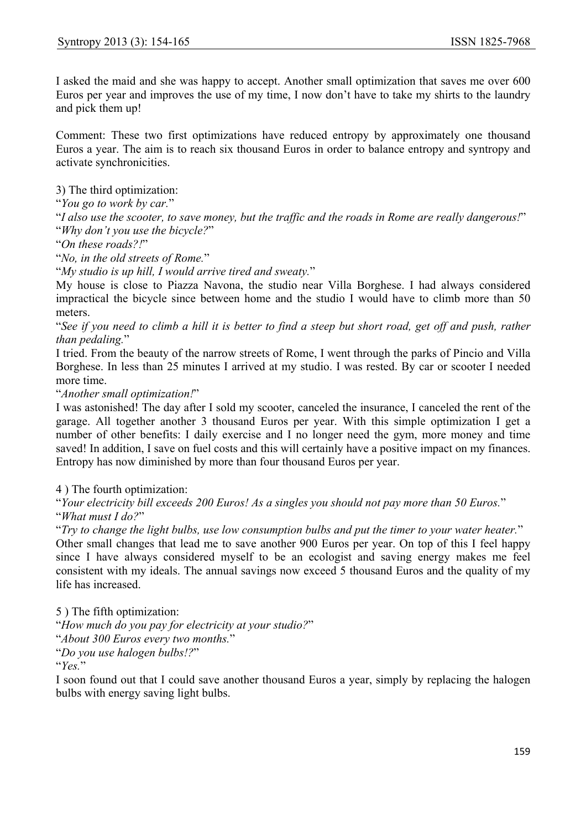I asked the maid and she was happy to accept. Another small optimization that saves me over 600 Euros per year and improves the use of my time, I now don't have to take my shirts to the laundry and pick them up!

Comment: These two first optimizations have reduced entropy by approximately one thousand Euros a year. The aim is to reach six thousand Euros in order to balance entropy and syntropy and activate synchronicities.

3) The third optimization:

"*You go to work by car.*"

"*I also use the scooter, to save money, but the traffic and the roads in Rome are really dangerous!*" "*Why don't you use the bicycle?*"

"*On these roads?!*"

"*No, in the old streets of Rome.*"

"*My studio is up hill, I would arrive tired and sweaty.*"

My house is close to Piazza Navona, the studio near Villa Borghese. I had always considered impractical the bicycle since between home and the studio I would have to climb more than 50 meters.

"*See if you need to climb a hill it is better to find a steep but short road, get off and push, rather than pedaling.*"

I tried. From the beauty of the narrow streets of Rome, I went through the parks of Pincio and Villa Borghese. In less than 25 minutes I arrived at my studio. I was rested. By car or scooter I needed more time.

"*Another small optimization!*"

I was astonished! The day after I sold my scooter, canceled the insurance, I canceled the rent of the garage. All together another 3 thousand Euros per year. With this simple optimization I get a number of other benefits: I daily exercise and I no longer need the gym, more money and time saved! In addition, I save on fuel costs and this will certainly have a positive impact on my finances. Entropy has now diminished by more than four thousand Euros per year.

4 ) The fourth optimization:

"*Your electricity bill exceeds 200 Euros! As a singles you should not pay more than 50 Euros.*" "*What must I do?*"

"*Try to change the light bulbs, use low consumption bulbs and put the timer to your water heater.*"

Other small changes that lead me to save another 900 Euros per year. On top of this I feel happy since I have always considered myself to be an ecologist and saving energy makes me feel consistent with my ideals. The annual savings now exceed 5 thousand Euros and the quality of my life has increased.

5 ) The fifth optimization:

"*How much do you pay for electricity at your studio?*"

"*About 300 Euros every two months.*"

"*Do you use halogen bulbs!?*"

"*Yes.*"

I soon found out that I could save another thousand Euros a year, simply by replacing the halogen bulbs with energy saving light bulbs.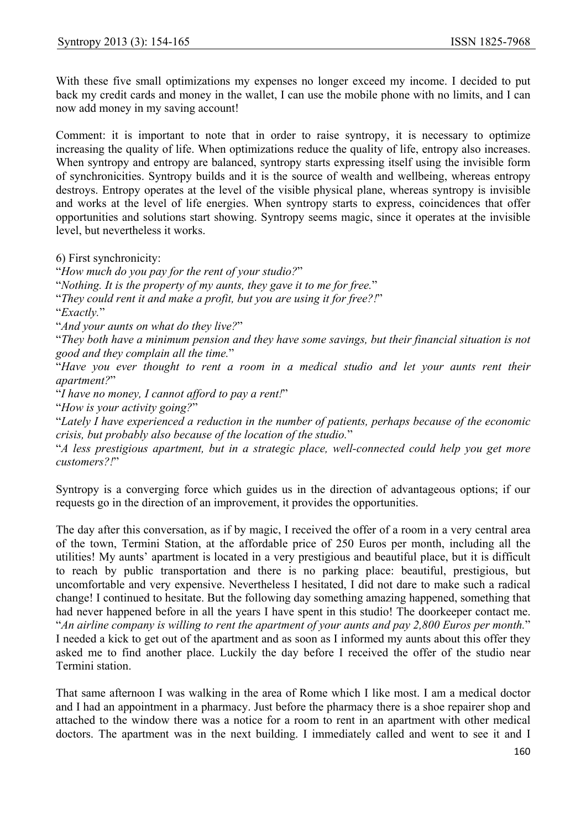With these five small optimizations my expenses no longer exceed my income. I decided to put back my credit cards and money in the wallet, I can use the mobile phone with no limits, and I can now add money in my saving account!

Comment: it is important to note that in order to raise syntropy, it is necessary to optimize increasing the quality of life. When optimizations reduce the quality of life, entropy also increases. When syntropy and entropy are balanced, syntropy starts expressing itself using the invisible form of synchronicities. Syntropy builds and it is the source of wealth and wellbeing, whereas entropy destroys. Entropy operates at the level of the visible physical plane, whereas syntropy is invisible and works at the level of life energies. When syntropy starts to express, coincidences that offer opportunities and solutions start showing. Syntropy seems magic, since it operates at the invisible level, but nevertheless it works.

6) First synchronicity:

"*How much do you pay for the rent of your studio?*"

"*Nothing. It is the property of my aunts, they gave it to me for free.*"

"*They could rent it and make a profit, but you are using it for free?!*"

"*Exactly.*"

"*And your aunts on what do they live?*"

"*They both have a minimum pension and they have some savings, but their financial situation is not good and they complain all the time.*"

"*Have you ever thought to rent a room in a medical studio and let your aunts rent their apartment?*"

"*I have no money, I cannot afford to pay a rent!*"

"*How is your activity going?*"

"*Lately I have experienced a reduction in the number of patients, perhaps because of the economic crisis, but probably also because of the location of the studio.*"

"*A less prestigious apartment, but in a strategic place, well-connected could help you get more customers?!*"

Syntropy is a converging force which guides us in the direction of advantageous options; if our requests go in the direction of an improvement, it provides the opportunities.

The day after this conversation, as if by magic, I received the offer of a room in a very central area of the town, Termini Station, at the affordable price of 250 Euros per month, including all the utilities! My aunts' apartment is located in a very prestigious and beautiful place, but it is difficult to reach by public transportation and there is no parking place: beautiful, prestigious, but uncomfortable and very expensive. Nevertheless I hesitated, I did not dare to make such a radical change! I continued to hesitate. But the following day something amazing happened, something that had never happened before in all the years I have spent in this studio! The doorkeeper contact me. "*An airline company is willing to rent the apartment of your aunts and pay 2,800 Euros per month.*" I needed a kick to get out of the apartment and as soon as I informed my aunts about this offer they asked me to find another place. Luckily the day before I received the offer of the studio near Termini station.

That same afternoon I was walking in the area of Rome which I like most. I am a medical doctor and I had an appointment in a pharmacy. Just before the pharmacy there is a shoe repairer shop and attached to the window there was a notice for a room to rent in an apartment with other medical doctors. The apartment was in the next building. I immediately called and went to see it and I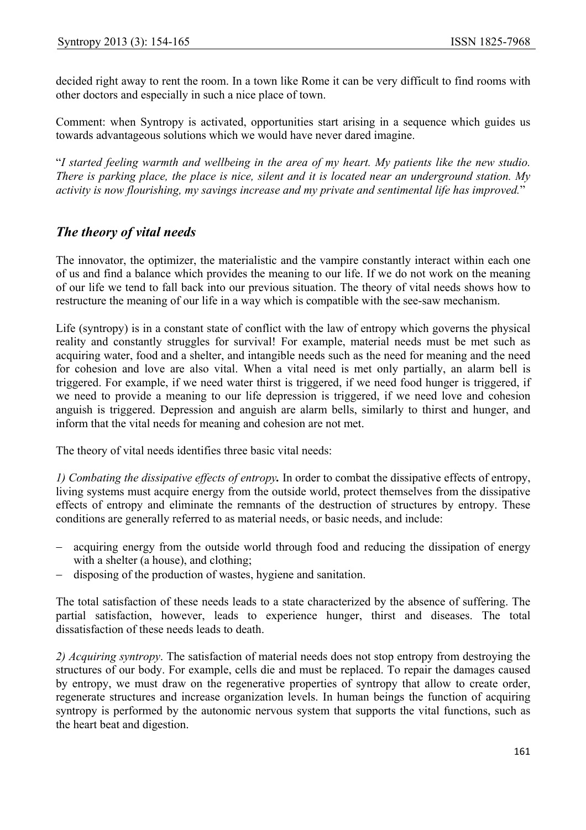decided right away to rent the room. In a town like Rome it can be very difficult to find rooms with other doctors and especially in such a nice place of town.

Comment: when Syntropy is activated, opportunities start arising in a sequence which guides us towards advantageous solutions which we would have never dared imagine.

"*I started feeling warmth and wellbeing in the area of my heart. My patients like the new studio. There is parking place, the place is nice, silent and it is located near an underground station. My activity is now flourishing, my savings increase and my private and sentimental life has improved.*"

# *The theory of vital needs*

The innovator, the optimizer, the materialistic and the vampire constantly interact within each one of us and find a balance which provides the meaning to our life. If we do not work on the meaning of our life we tend to fall back into our previous situation. The theory of vital needs shows how to restructure the meaning of our life in a way which is compatible with the see-saw mechanism.

Life (syntropy) is in a constant state of conflict with the law of entropy which governs the physical reality and constantly struggles for survival! For example, material needs must be met such as acquiring water, food and a shelter, and intangible needs such as the need for meaning and the need for cohesion and love are also vital. When a vital need is met only partially, an alarm bell is triggered. For example, if we need water thirst is triggered, if we need food hunger is triggered, if we need to provide a meaning to our life depression is triggered, if we need love and cohesion anguish is triggered. Depression and anguish are alarm bells, similarly to thirst and hunger, and inform that the vital needs for meaning and cohesion are not met.

The theory of vital needs identifies three basic vital needs:

*1) Combating the dissipative effects of entropy.* In order to combat the dissipative effects of entropy, living systems must acquire energy from the outside world, protect themselves from the dissipative effects of entropy and eliminate the remnants of the destruction of structures by entropy. These conditions are generally referred to as material needs, or basic needs, and include:

- − acquiring energy from the outside world through food and reducing the dissipation of energy with a shelter (a house), and clothing;
- disposing of the production of wastes, hygiene and sanitation.

The total satisfaction of these needs leads to a state characterized by the absence of suffering. The partial satisfaction, however, leads to experience hunger, thirst and diseases. The total dissatisfaction of these needs leads to death.

*2) Acquiring syntropy*. The satisfaction of material needs does not stop entropy from destroying the structures of our body. For example, cells die and must be replaced. To repair the damages caused by entropy, we must draw on the regenerative properties of syntropy that allow to create order, regenerate structures and increase organization levels. In human beings the function of acquiring syntropy is performed by the autonomic nervous system that supports the vital functions, such as the heart beat and digestion.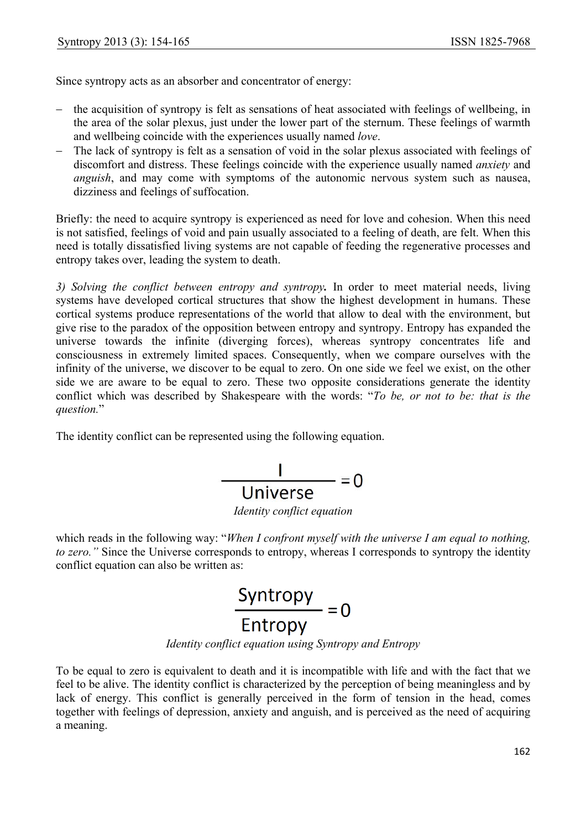Since syntropy acts as an absorber and concentrator of energy:

- the acquisition of syntropy is felt as sensations of heat associated with feelings of wellbeing, in the area of the solar plexus, just under the lower part of the sternum. These feelings of warmth and wellbeing coincide with the experiences usually named *love*.
- − The lack of syntropy is felt as a sensation of void in the solar plexus associated with feelings of discomfort and distress. These feelings coincide with the experience usually named *anxiety* and *anguish*, and may come with symptoms of the autonomic nervous system such as nausea, dizziness and feelings of suffocation.

Briefly: the need to acquire syntropy is experienced as need for love and cohesion. When this need is not satisfied, feelings of void and pain usually associated to a feeling of death, are felt. When this need is totally dissatisfied living systems are not capable of feeding the regenerative processes and entropy takes over, leading the system to death.

*3) Solving the conflict between entropy and syntropy.* In order to meet material needs, living systems have developed cortical structures that show the highest development in humans. These cortical systems produce representations of the world that allow to deal with the environment, but give rise to the paradox of the opposition between entropy and syntropy. Entropy has expanded the universe towards the infinite (diverging forces), whereas syntropy concentrates life and consciousness in extremely limited spaces. Consequently, when we compare ourselves with the infinity of the universe, we discover to be equal to zero. On one side we feel we exist, on the other side we are aware to be equal to zero. These two opposite considerations generate the identity conflict which was described by Shakespeare with the words: "*To be, or not to be: that is the question.*"

The identity conflict can be represented using the following equation.

$$
\frac{1}{\text{Universe}} = 0
$$

*Identity conflict equation* 

which reads in the following way: "*When I confront myself with the universe I am equal to nothing*, *to zero."* Since the Universe corresponds to entropy, whereas I corresponds to syntropy the identity conflict equation can also be written as:



*Identity conflict equation using Syntropy and Entropy* 

To be equal to zero is equivalent to death and it is incompatible with life and with the fact that we feel to be alive. The identity conflict is characterized by the perception of being meaningless and by lack of energy. This conflict is generally perceived in the form of tension in the head, comes together with feelings of depression, anxiety and anguish, and is perceived as the need of acquiring a meaning.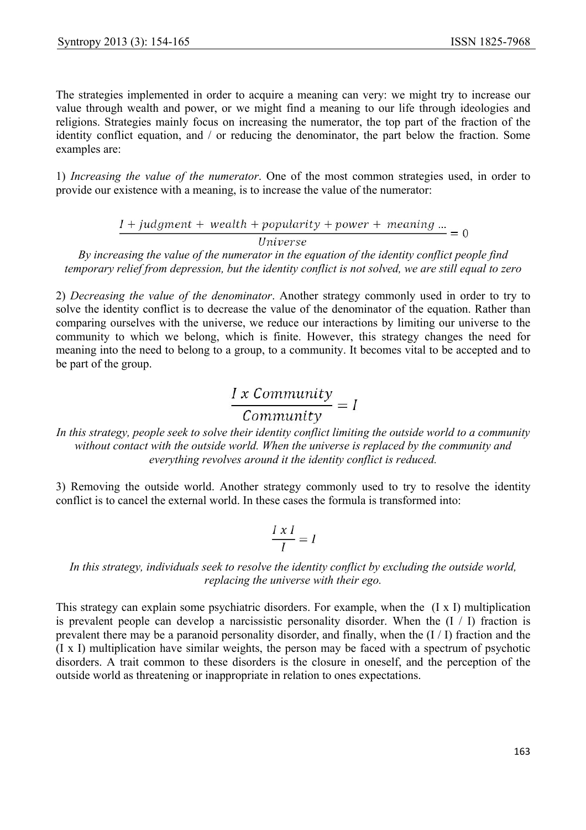The strategies implemented in order to acquire a meaning can very: we might try to increase our value through wealth and power, or we might find a meaning to our life through ideologies and religions. Strategies mainly focus on increasing the numerator, the top part of the fraction of the identity conflict equation, and / or reducing the denominator, the part below the fraction. Some examples are:

1) *Increasing the value of the numerator*. One of the most common strategies used, in order to provide our existence with a meaning, is to increase the value of the numerator:

 $I + judgment + wealth + popularity + power + meaning ... = 0$ 

Universe

*By increasing the value of the numerator in the equation of the identity conflict people find temporary relief from depression, but the identity conflict is not solved, we are still equal to zero* 

2) *Decreasing the value of the denominator*. Another strategy commonly used in order to try to solve the identity conflict is to decrease the value of the denominator of the equation. Rather than comparing ourselves with the universe, we reduce our interactions by limiting our universe to the community to which we belong, which is finite. However, this strategy changes the need for meaning into the need to belong to a group, to a community. It becomes vital to be accepted and to be part of the group.

# $\frac{I \times Community}{Commanity} = I$

*In this strategy, people seek to solve their identity conflict limiting the outside world to a community without contact with the outside world. When the universe is replaced by the community and everything revolves around it the identity conflict is reduced.* 

3) Removing the outside world. Another strategy commonly used to try to resolve the identity conflict is to cancel the external world. In these cases the formula is transformed into:

$$
\frac{I \times I}{I} = I
$$

*In this strategy, individuals seek to resolve the identity conflict by excluding the outside world, replacing the universe with their ego.* 

This strategy can explain some psychiatric disorders. For example, when the (I x I) multiplication is prevalent people can develop a narcissistic personality disorder. When the  $(I / I)$  fraction is prevalent there may be a paranoid personality disorder, and finally, when the (I / I) fraction and the (I x I) multiplication have similar weights, the person may be faced with a spectrum of psychotic disorders. A trait common to these disorders is the closure in oneself, and the perception of the outside world as threatening or inappropriate in relation to ones expectations.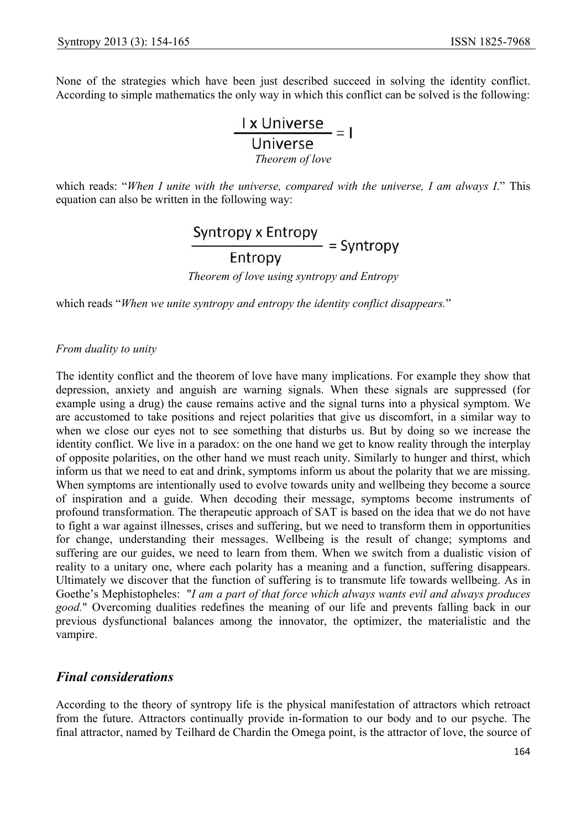None of the strategies which have been just described succeed in solving the identity conflict. According to simple mathematics the only way in which this conflict can be solved is the following:

> $\frac{1 \times \text{Universe}}{\text{Universe}} = 1$ *Theorem of love*

which reads: "*When I unite with the universe, compared with the universe, I am always I*." This equation can also be written in the following way:

```
\frac{\text{Syntropy x Entropy}}{\text{Entropy}} = Syntropy
```
*Theorem of love using syntropy and Entropy* 

which reads "*When we unite syntropy and entropy the identity conflict disappears.*"

### *From duality to unity*

The identity conflict and the theorem of love have many implications. For example they show that depression, anxiety and anguish are warning signals. When these signals are suppressed (for example using a drug) the cause remains active and the signal turns into a physical symptom. We are accustomed to take positions and reject polarities that give us discomfort, in a similar way to when we close our eyes not to see something that disturbs us. But by doing so we increase the identity conflict. We live in a paradox: on the one hand we get to know reality through the interplay of opposite polarities, on the other hand we must reach unity. Similarly to hunger and thirst, which inform us that we need to eat and drink, symptoms inform us about the polarity that we are missing. When symptoms are intentionally used to evolve towards unity and wellbeing they become a source of inspiration and a guide. When decoding their message, symptoms become instruments of profound transformation. The therapeutic approach of SAT is based on the idea that we do not have to fight a war against illnesses, crises and suffering, but we need to transform them in opportunities for change, understanding their messages. Wellbeing is the result of change; symptoms and suffering are our guides, we need to learn from them. When we switch from a dualistic vision of reality to a unitary one, where each polarity has a meaning and a function, suffering disappears. Ultimately we discover that the function of suffering is to transmute life towards wellbeing. As in Goethe's Mephistopheles: "*I am a part of that force which always wants evil and always produces good.*" Overcoming dualities redefines the meaning of our life and prevents falling back in our previous dysfunctional balances among the innovator, the optimizer, the materialistic and the vampire.

# *Final considerations*

According to the theory of syntropy life is the physical manifestation of attractors which retroact from the future. Attractors continually provide in-formation to our body and to our psyche. The final attractor, named by Teilhard de Chardin the Omega point, is the attractor of love, the source of